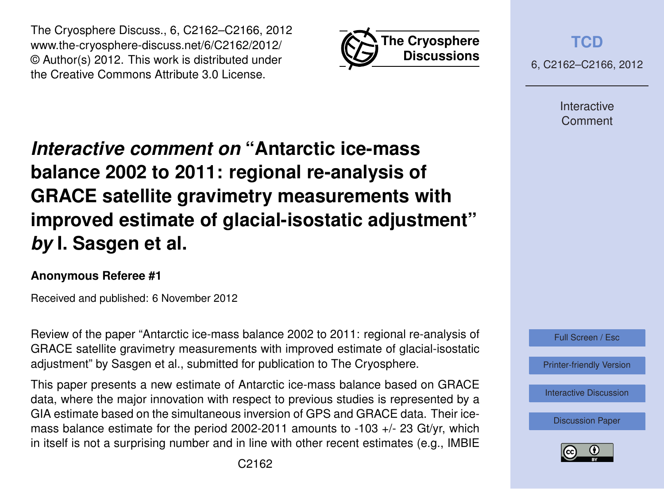



**[TCD](http://www.the-cryosphere-discuss.net)**

6, C2162–C2166, 2012

Interactive Comment

# *Interactive comment on* **"Antarctic ice-mass balance 2002 to 2011: regional re-analysis of GRACE satellite gravimetry measurements with improved estimate of glacial-isostatic adjustment"** *by* **I. Sasgen et al.**

## **Anonymous Referee #1**

Received and published: 6 November 2012

Review of the paper "Antarctic ice-mass balance 2002 to 2011: regional re-analysis of GRACE satellite gravimetry measurements with improved estimate of glacial-isostatic adjustment" by Sasgen et al., submitted for publication to The Cryosphere.

This paper presents a new estimate of Antarctic ice-mass balance based on GRACE data, where the major innovation with respect to previous studies is represented by a GIA estimate based on the simultaneous inversion of GPS and GRACE data. Their icemass balance estimate for the period 2002-2011 amounts to -103 +/- 23 Gt/yr, which in itself is not a surprising number and in line with other recent estimates (e.g., IMBIE



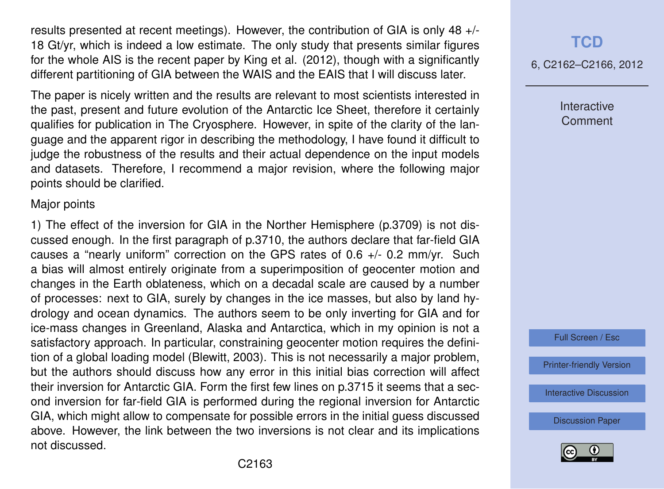results presented at recent meetings). However, the contribution of GIA is only 48 +/- 18 Gt/yr, which is indeed a low estimate. The only study that presents similar figures for the whole AIS is the recent paper by King et al. (2012), though with a significantly different partitioning of GIA between the WAIS and the EAIS that I will discuss later.

The paper is nicely written and the results are relevant to most scientists interested in the past, present and future evolution of the Antarctic Ice Sheet, therefore it certainly qualifies for publication in The Cryosphere. However, in spite of the clarity of the language and the apparent rigor in describing the methodology, I have found it difficult to judge the robustness of the results and their actual dependence on the input models and datasets. Therefore, I recommend a major revision, where the following major points should be clarified.

#### Major points

1) The effect of the inversion for GIA in the Norther Hemisphere (p.3709) is not discussed enough. In the first paragraph of p.3710, the authors declare that far-field GIA causes a "nearly uniform" correction on the GPS rates of 0.6 +/- 0.2 mm/yr. Such a bias will almost entirely originate from a superimposition of geocenter motion and changes in the Earth oblateness, which on a decadal scale are caused by a number of processes: next to GIA, surely by changes in the ice masses, but also by land hydrology and ocean dynamics. The authors seem to be only inverting for GIA and for ice-mass changes in Greenland, Alaska and Antarctica, which in my opinion is not a satisfactory approach. In particular, constraining geocenter motion requires the definition of a global loading model (Blewitt, 2003). This is not necessarily a major problem, but the authors should discuss how any error in this initial bias correction will affect their inversion for Antarctic GIA. Form the first few lines on p.3715 it seems that a second inversion for far-field GIA is performed during the regional inversion for Antarctic GIA, which might allow to compensate for possible errors in the initial guess discussed above. However, the link between the two inversions is not clear and its implications not discussed.

## **[TCD](http://www.the-cryosphere-discuss.net)**

6, C2162–C2166, 2012

Interactive **Comment** 

Full Screen / Esc

[Printer-friendly Version](http://www.the-cryosphere-discuss.net/6/C2162/2012/tcd-6-C2162-2012-print.pdf)

[Interactive Discussion](http://www.the-cryosphere-discuss.net/6/3703/2012/tcd-6-3703-2012-discussion.html)

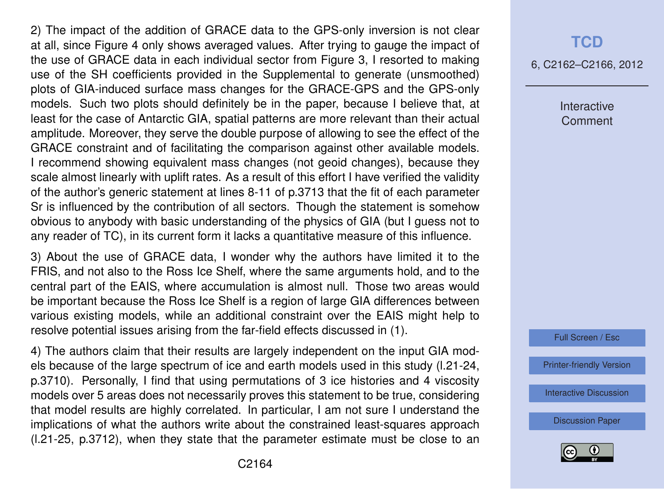2) The impact of the addition of GRACE data to the GPS-only inversion is not clear at all, since Figure 4 only shows averaged values. After trying to gauge the impact of the use of GRACE data in each individual sector from Figure 3, I resorted to making use of the SH coefficients provided in the Supplemental to generate (unsmoothed) plots of GIA-induced surface mass changes for the GRACE-GPS and the GPS-only models. Such two plots should definitely be in the paper, because I believe that, at least for the case of Antarctic GIA, spatial patterns are more relevant than their actual amplitude. Moreover, they serve the double purpose of allowing to see the effect of the GRACE constraint and of facilitating the comparison against other available models. I recommend showing equivalent mass changes (not geoid changes), because they scale almost linearly with uplift rates. As a result of this effort I have verified the validity of the author's generic statement at lines 8-11 of p.3713 that the fit of each parameter Sr is influenced by the contribution of all sectors. Though the statement is somehow obvious to anybody with basic understanding of the physics of GIA (but I guess not to any reader of TC), in its current form it lacks a quantitative measure of this influence.

3) About the use of GRACE data, I wonder why the authors have limited it to the FRIS, and not also to the Ross Ice Shelf, where the same arguments hold, and to the central part of the EAIS, where accumulation is almost null. Those two areas would be important because the Ross Ice Shelf is a region of large GIA differences between various existing models, while an additional constraint over the EAIS might help to resolve potential issues arising from the far-field effects discussed in (1).

4) The authors claim that their results are largely independent on the input GIA models because of the large spectrum of ice and earth models used in this study (l.21-24, p.3710). Personally, I find that using permutations of 3 ice histories and 4 viscosity models over 5 areas does not necessarily proves this statement to be true, considering that model results are highly correlated. In particular, I am not sure I understand the implications of what the authors write about the constrained least-squares approach (l.21-25, p.3712), when they state that the parameter estimate must be close to an

## **[TCD](http://www.the-cryosphere-discuss.net)**

6, C2162–C2166, 2012

Interactive **Comment** 

Full Screen / Esc

[Printer-friendly Version](http://www.the-cryosphere-discuss.net/6/C2162/2012/tcd-6-C2162-2012-print.pdf)

[Interactive Discussion](http://www.the-cryosphere-discuss.net/6/3703/2012/tcd-6-3703-2012-discussion.html)

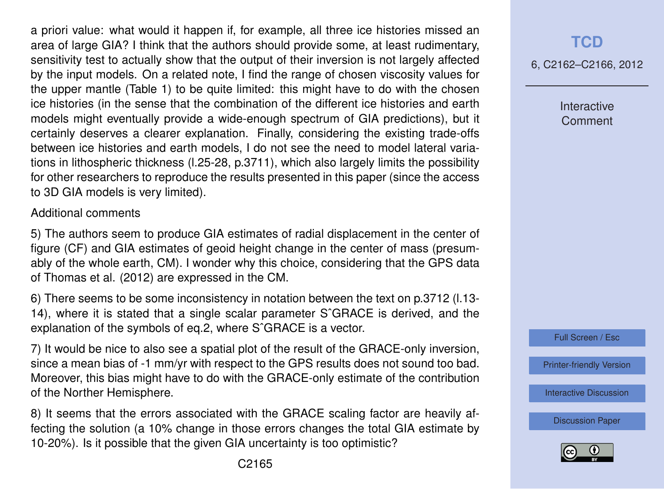a priori value: what would it happen if, for example, all three ice histories missed an area of large GIA? I think that the authors should provide some, at least rudimentary, sensitivity test to actually show that the output of their inversion is not largely affected by the input models. On a related note, I find the range of chosen viscosity values for the upper mantle (Table 1) to be quite limited: this might have to do with the chosen ice histories (in the sense that the combination of the different ice histories and earth models might eventually provide a wide-enough spectrum of GIA predictions), but it certainly deserves a clearer explanation. Finally, considering the existing trade-offs between ice histories and earth models, I do not see the need to model lateral variations in lithospheric thickness (l.25-28, p.3711), which also largely limits the possibility for other researchers to reproduce the results presented in this paper (since the access to 3D GIA models is very limited).

#### Additional comments

5) The authors seem to produce GIA estimates of radial displacement in the center of figure (CF) and GIA estimates of geoid height change in the center of mass (presumably of the whole earth, CM). I wonder why this choice, considering that the GPS data of Thomas et al. (2012) are expressed in the CM.

6) There seems to be some inconsistency in notation between the text on p.3712 (l.13- 14), where it is stated that a single scalar parameter SˆGRACE is derived, and the explanation of the symbols of eq.2, where SˆGRACE is a vector.

7) It would be nice to also see a spatial plot of the result of the GRACE-only inversion, since a mean bias of -1 mm/yr with respect to the GPS results does not sound too bad. Moreover, this bias might have to do with the GRACE-only estimate of the contribution of the Norther Hemisphere.

8) It seems that the errors associated with the GRACE scaling factor are heavily affecting the solution (a 10% change in those errors changes the total GIA estimate by 10-20%). Is it possible that the given GIA uncertainty is too optimistic?

6, C2162–C2166, 2012

Interactive **Comment** 



[Printer-friendly Version](http://www.the-cryosphere-discuss.net/6/C2162/2012/tcd-6-C2162-2012-print.pdf)

[Interactive Discussion](http://www.the-cryosphere-discuss.net/6/3703/2012/tcd-6-3703-2012-discussion.html)